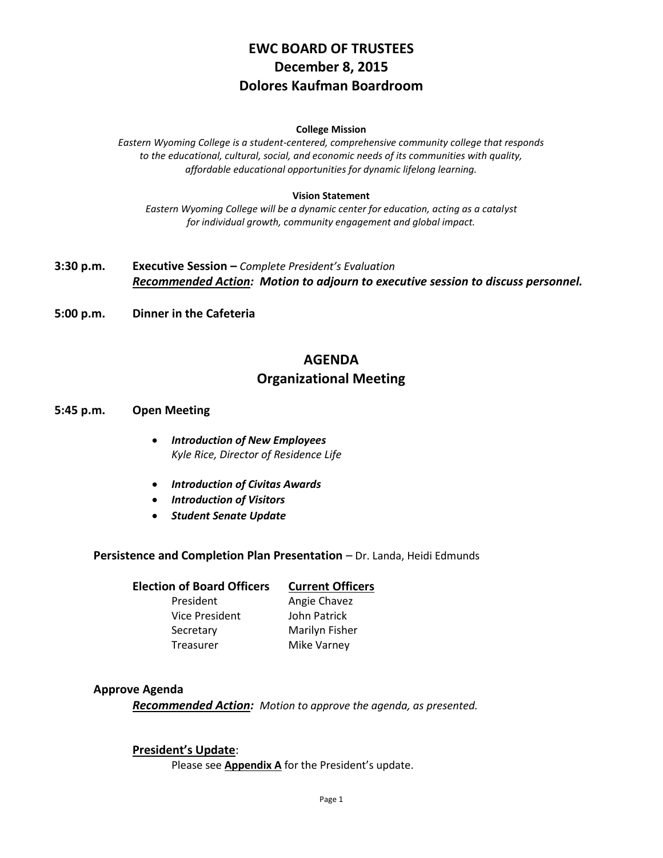# **EWC BOARD OF TRUSTEES December 8, 2015 Dolores Kaufman Boardroom**

#### **College Mission**

*Eastern Wyoming College is a student-centered, comprehensive community college that responds to the educational, cultural, social, and economic needs of its communities with quality, affordable educational opportunities for dynamic lifelong learning.*

#### **Vision Statement**

*Eastern Wyoming College will be a dynamic center for education, acting as a catalyst for individual growth, community engagement and global impact.*

- **3:30 p.m. Executive Session –** *Complete President's Evaluation Recommended Action: Motion to adjourn to executive session to discuss personnel.*
- **5:00 p.m. Dinner in the Cafeteria**

# **AGENDA Organizational Meeting**

- **5:45 p.m. Open Meeting**
	- *Introduction of New Employees Kyle Rice, Director of Residence Life*
	- *Introduction of Civitas Awards*
	- *Introduction of Visitors*
	- *Student Senate Update*

**Persistence and Completion Plan Presentation** – Dr. Landa, Heidi Edmunds

**Election of Board Officers Current Officers** President Angie Chavez Vice President John Patrick Secretary Marilyn Fisher Treasurer Mike Varney

#### **Approve Agenda**

*Recommended Action: Motion to approve the agenda, as presented.*

#### **President's Update**:

Please see **Appendix A** for the President's update.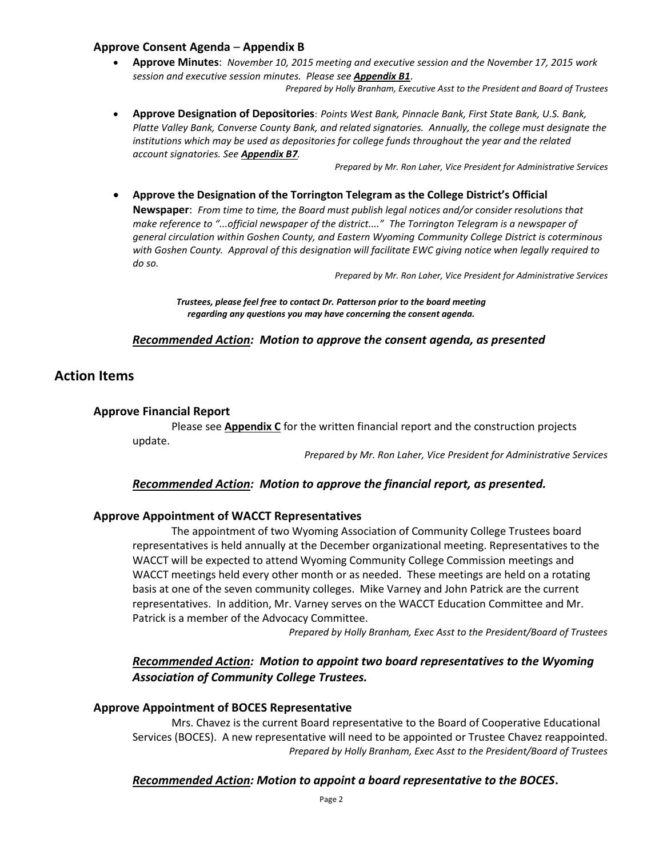### **Approve Consent Agenda** – **Appendix B**

 **Approve Minutes**: *November 10, 2015 meeting and executive session and the November 17, 2015 work session and executive session minutes. Please see Appendix B1*.

*Prepared by Holly Branham, Executive Asst to the President and Board of Trustees*

 **Approve Designation of Depositories**: *Points West Bank, Pinnacle Bank, First State Bank, U.S. Bank, Platte Valley Bank, Converse County Bank, and related signatories. Annually, the college must designate the institutions which may be used as depositories for college funds throughout the year and the related account signatories. See Appendix B7.*

*Prepared by Mr. Ron Laher, Vice President for Administrative Services*

 **Approve the Designation of the Torrington Telegram as the College District's Official Newspaper**: *From time to time, the Board must publish legal notices and/or consider resolutions that make reference to "...official newspaper of the district...." The Torrington Telegram is a newspaper of general circulation within Goshen County, and Eastern Wyoming Community College District is coterminous with Goshen County. Approval of this designation will facilitate EWC giving notice when legally required to do so.*

*Prepared by Mr. Ron Laher, Vice President for Administrative Services*

*Trustees, please feel free to contact Dr. Patterson prior to the board meeting regarding any questions you may have concerning the consent agenda.*

#### *Recommended Action: Motion to approve the consent agenda, as presented*

## **Action Items**

#### **Approve Financial Report**

Please see **Appendix C** for the written financial report and the construction projects update.

*Prepared by Mr. Ron Laher, Vice President for Administrative Services*

#### *Recommended Action: Motion to approve the financial report, as presented.*

#### **Approve Appointment of WACCT Representatives**

The appointment of two Wyoming Association of Community College Trustees board representatives is held annually at the December organizational meeting. Representatives to the WACCT will be expected to attend Wyoming Community College Commission meetings and WACCT meetings held every other month or as needed. These meetings are held on a rotating basis at one of the seven community colleges. Mike Varney and John Patrick are the current representatives. In addition, Mr. Varney serves on the WACCT Education Committee and Mr. Patrick is a member of the Advocacy Committee.

*Prepared by Holly Branham, Exec Asst to the President/Board of Trustees*

## *Recommended Action: Motion to appoint two board representatives to the Wyoming Association of Community College Trustees.*

#### **Approve Appointment of BOCES Representative**

Mrs. Chavez is the current Board representative to the Board of Cooperative Educational Services (BOCES). A new representative will need to be appointed or Trustee Chavez reappointed. *Prepared by Holly Branham, Exec Asst to the President/Board of Trustees*

#### *Recommended Action: Motion to appoint a board representative to the BOCES***.**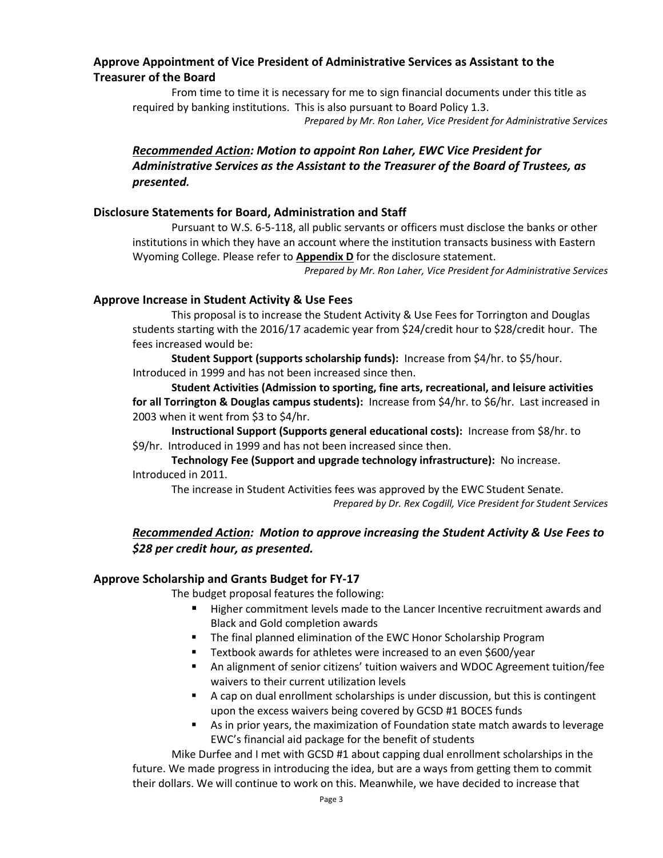### **Approve Appointment of Vice President of Administrative Services as Assistant to the Treasurer of the Board**

From time to time it is necessary for me to sign financial documents under this title as required by banking institutions. This is also pursuant to Board Policy 1.3. *Prepared by Mr. Ron Laher, Vice President for Administrative Services*

# *Recommended Action: Motion to appoint Ron Laher, EWC Vice President for Administrative Services as the Assistant to the Treasurer of the Board of Trustees, as presented.*

### **Disclosure Statements for Board, Administration and Staff**

Pursuant to W.S. 6-5-118, all public servants or officers must disclose the banks or other institutions in which they have an account where the institution transacts business with Eastern Wyoming College. Please refer to **Appendix D** for the disclosure statement.

*Prepared by Mr. Ron Laher, Vice President for Administrative Services*

#### **Approve Increase in Student Activity & Use Fees**

This proposal is to increase the Student Activity & Use Fees for Torrington and Douglas students starting with the 2016/17 academic year from \$24/credit hour to \$28/credit hour. The fees increased would be:

**Student Support (supports scholarship funds):** Increase from \$4/hr. to \$5/hour. Introduced in 1999 and has not been increased since then.

**Student Activities (Admission to sporting, fine arts, recreational, and leisure activities for all Torrington & Douglas campus students):** Increase from \$4/hr. to \$6/hr. Last increased in 2003 when it went from \$3 to \$4/hr.

**Instructional Support (Supports general educational costs):** Increase from \$8/hr. to \$9/hr. Introduced in 1999 and has not been increased since then.

**Technology Fee (Support and upgrade technology infrastructure):** No increase. Introduced in 2011.

The increase in Student Activities fees was approved by the EWC Student Senate. *Prepared by Dr. Rex Cogdill, Vice President for Student Services*

# *Recommended Action: Motion to approve increasing the Student Activity & Use Fees to \$28 per credit hour, as presented.*

#### **Approve Scholarship and Grants Budget for FY-17**

The budget proposal features the following:

- Higher commitment levels made to the Lancer Incentive recruitment awards and Black and Gold completion awards
- **The final planned elimination of the EWC Honor Scholarship Program**
- **Textbook awards for athletes were increased to an even \$600/year**
- An alignment of senior citizens' tuition waivers and WDOC Agreement tuition/fee waivers to their current utilization levels
- A cap on dual enrollment scholarships is under discussion, but this is contingent upon the excess waivers being covered by GCSD #1 BOCES funds
- As in prior years, the maximization of Foundation state match awards to leverage EWC's financial aid package for the benefit of students

Mike Durfee and I met with GCSD #1 about capping dual enrollment scholarships in the future. We made progress in introducing the idea, but are a ways from getting them to commit their dollars. We will continue to work on this. Meanwhile, we have decided to increase that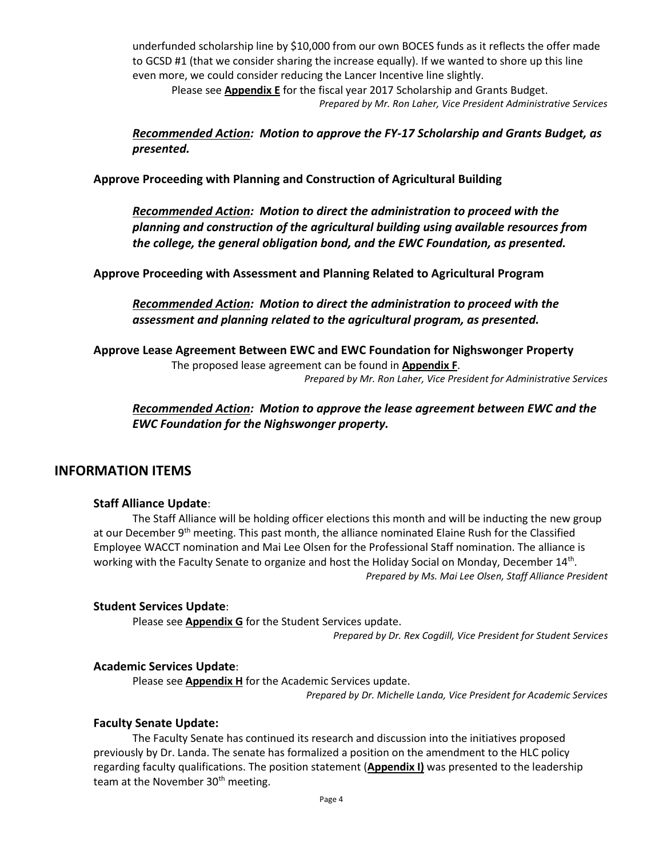underfunded scholarship line by \$10,000 from our own BOCES funds as it reflects the offer made to GCSD #1 (that we consider sharing the increase equally). If we wanted to shore up this line even more, we could consider reducing the Lancer Incentive line slightly.

Please see **Appendix E** for the fiscal year 2017 Scholarship and Grants Budget. *Prepared by Mr. Ron Laher, Vice President Administrative Services*

*Recommended Action: Motion to approve the FY-17 Scholarship and Grants Budget, as presented.*

**Approve Proceeding with Planning and Construction of Agricultural Building**

*Recommended Action: Motion to direct the administration to proceed with the planning and construction of the agricultural building using available resources from the college, the general obligation bond, and the EWC Foundation, as presented.*

**Approve Proceeding with Assessment and Planning Related to Agricultural Program**

*Recommended Action: Motion to direct the administration to proceed with the assessment and planning related to the agricultural program, as presented.*

**Approve Lease Agreement Between EWC and EWC Foundation for Nighswonger Property** The proposed lease agreement can be found in **Appendix F**.

*Prepared by Mr. Ron Laher, Vice President for Administrative Services*

*Recommended Action: Motion to approve the lease agreement between EWC and the EWC Foundation for the Nighswonger property.*

### **INFORMATION ITEMS**

#### **Staff Alliance Update**:

The Staff Alliance will be holding officer elections this month and will be inducting the new group at our December 9<sup>th</sup> meeting. This past month, the alliance nominated Elaine Rush for the Classified Employee WACCT nomination and Mai Lee Olsen for the Professional Staff nomination. The alliance is working with the Faculty Senate to organize and host the Holiday Social on Monday, December 14<sup>th</sup>. *Prepared by Ms. Mai Lee Olsen, Staff Alliance President*

#### **Student Services Update**:

Please see **Appendix G** for the Student Services update.

*Prepared by Dr. Rex Cogdill, Vice President for Student Services*

#### **Academic Services Update**:

Please see **Appendix H** for the Academic Services update.

*Prepared by Dr. Michelle Landa, Vice President for Academic Services*

#### **Faculty Senate Update:**

The Faculty Senate has continued its research and discussion into the initiatives proposed previously by Dr. Landa. The senate has formalized a position on the amendment to the HLC policy regarding faculty qualifications. The position statement (**Appendix I)** was presented to the leadership team at the November 30<sup>th</sup> meeting.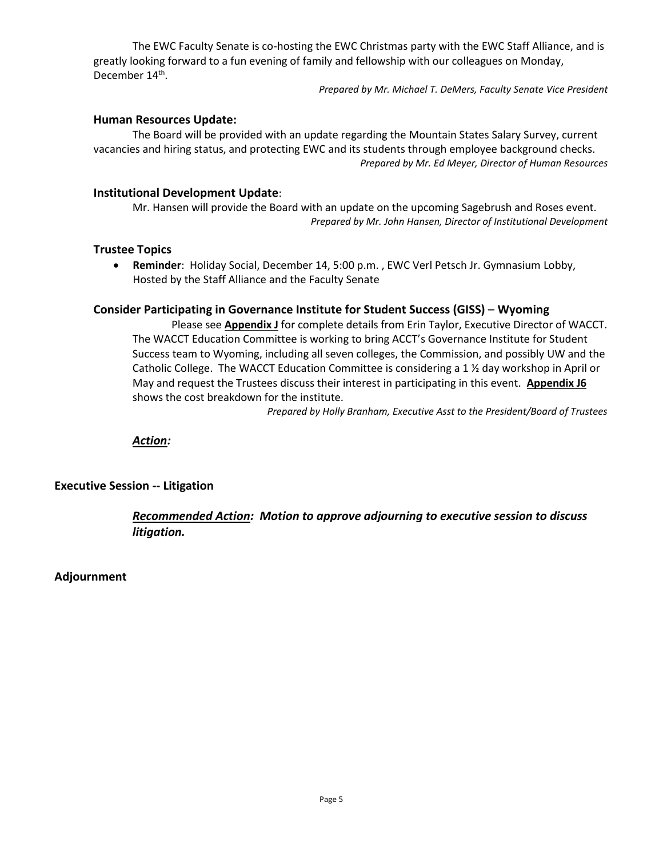The EWC Faculty Senate is co-hosting the EWC Christmas party with the EWC Staff Alliance, and is greatly looking forward to a fun evening of family and fellowship with our colleagues on Monday, December 14<sup>th</sup>.

*Prepared by Mr. Michael T. DeMers, Faculty Senate Vice President*

### **Human Resources Update:**

The Board will be provided with an update regarding the Mountain States Salary Survey, current vacancies and hiring status, and protecting EWC and its students through employee background checks. *Prepared by Mr. Ed Meyer, Director of Human Resources*

### **Institutional Development Update**:

Mr. Hansen will provide the Board with an update on the upcoming Sagebrush and Roses event. *Prepared by Mr. John Hansen, Director of Institutional Development*

#### **Trustee Topics**

 **Reminder**: Holiday Social, December 14, 5:00 p.m. , EWC Verl Petsch Jr. Gymnasium Lobby, Hosted by the Staff Alliance and the Faculty Senate

### **Consider Participating in Governance Institute for Student Success (GISS)** – **Wyoming**

Please see **Appendix J** for complete details from Erin Taylor, Executive Director of WACCT. The WACCT Education Committee is working to bring ACCT's Governance Institute for Student Success team to Wyoming, including all seven colleges, the Commission, and possibly UW and the Catholic College. The WACCT Education Committee is considering a 1 ½ day workshop in April or May and request the Trustees discuss their interest in participating in this event. **Appendix J6** shows the cost breakdown for the institute.

*Prepared by Holly Branham, Executive Asst to the President/Board of Trustees*

*Action:*

### **Executive Session -- Litigation**

## *Recommended Action: Motion to approve adjourning to executive session to discuss litigation.*

**Adjournment**